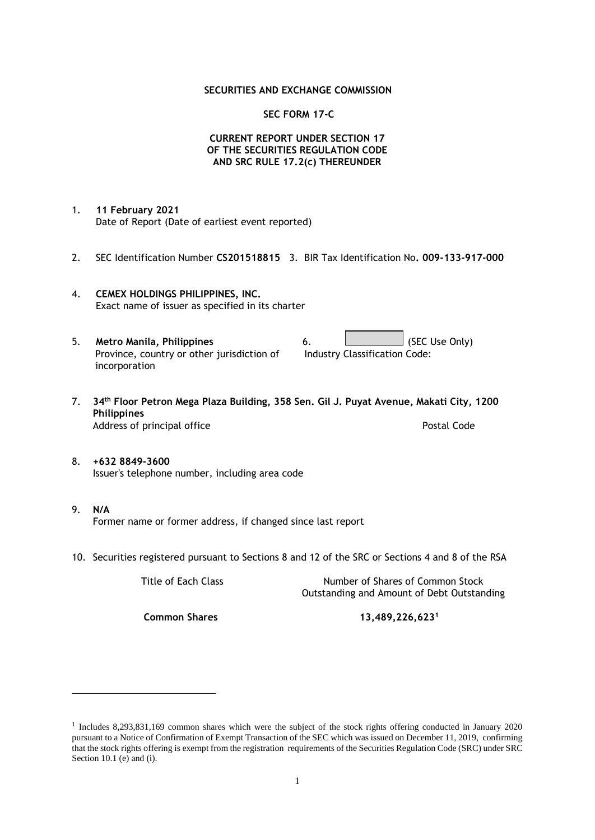### **SECURITIES AND EXCHANGE COMMISSION**

### **SEC FORM 17-C**

## **CURRENT REPORT UNDER SECTION 17 OF THE SECURITIES REGULATION CODE AND SRC RULE 17.2(c) THEREUNDER**

- 1. **11 February 2021** Date of Report (Date of earliest event reported)
- 2. SEC Identification Number **CS201518815** 3. BIR Tax Identification No**. 009-133-917-000**
- 4. **CEMEX HOLDINGS PHILIPPINES, INC.** Exact name of issuer as specified in its charter
- 5. **Metro Manila, Philippines** 6. **Consumers 6.** (SEC Use Only) Province, country or other jurisdiction of incorporation Industry Classification Code:
- 7. **34th Floor Petron Mega Plaza Building, 358 Sen. Gil J. Puyat Avenue, Makati City, 1200 Philippines** Address of principal office **Postal Code** Postal Code
- 8. **+632 8849-3600** Issuer's telephone number, including area code
- 9. **N/A** Former name or former address, if changed since last report
- 10. Securities registered pursuant to Sections 8 and 12 of the SRC or Sections 4 and 8 of the RSA

Title of Each Class Number of Shares of Common Stock Outstanding and Amount of Debt Outstanding

**Common Shares 13,489,226,623<sup>1</sup>**

<sup>1</sup> Includes 8,293,831,169 common shares which were the subject of the stock rights offering conducted in January 2020 pursuant to a Notice of Confirmation of Exempt Transaction of the SEC which was issued on December 11, 2019, confirming that the stock rights offering is exempt from the registration requirements of the Securities Regulation Code (SRC) under SRC Section 10.1 (e) and (i).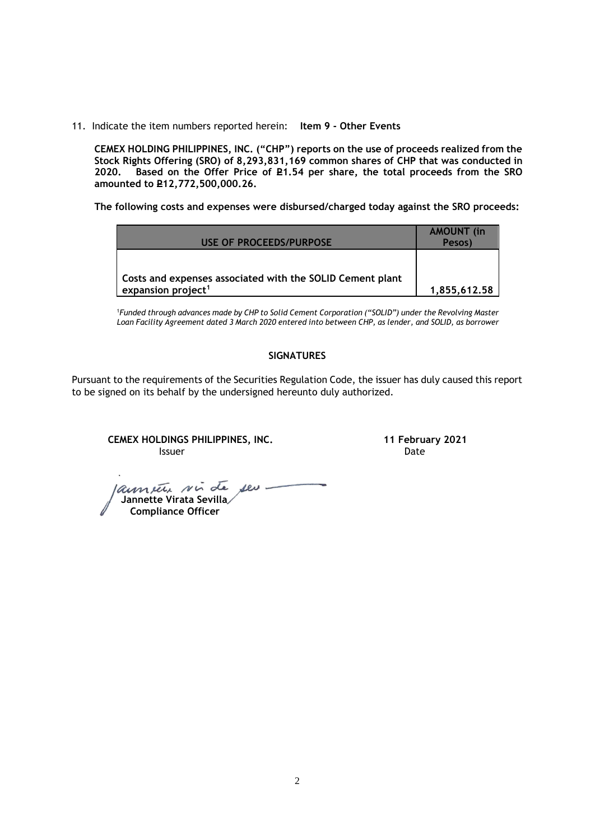11. Indicate the item numbers reported herein: **Item 9 - Other Events**

**CEMEX HOLDING PHILIPPINES, INC. ("CHP") reports on the use of proceeds realized from the Stock Rights Offering (SRO) of 8,293,831,169 common shares of CHP that was conducted in**  Based on the Offer Price of £1.54 per share, the total proceeds from the SRO **amounted to P12,772,500,000.26.** 

**The following costs and expenses were disbursed/charged today against the SRO proceeds:**

| USE OF PROCEEDS/PURPOSE                                                                     | <b>AMOUNT</b> (in<br>Pesos) |
|---------------------------------------------------------------------------------------------|-----------------------------|
| Costs and expenses associated with the SOLID Cement plant<br>expansion project <sup>1</sup> | 1,855,612.58                |

<sup>1</sup>*Funded through advances made by CHP to Solid Cement Corporation ("SOLID") under the Revolving Master Loan Facility Agreement dated 3 March 2020 entered into between CHP, as lender, and SOLID, as borrower*

## **SIGNATURES**

Pursuant to the requirements of the Securities Regulation Code, the issuer has duly caused this report to be signed on its behalf by the undersigned hereunto duly authorized.

**CEMEX HOLDINGS PHILIPPINES, INC. 11 February 2021 Issuer Community Community Community** Community Community Community Community Community Community Community Comm

 **Jannette Virata Sevilla Compliance Officer**